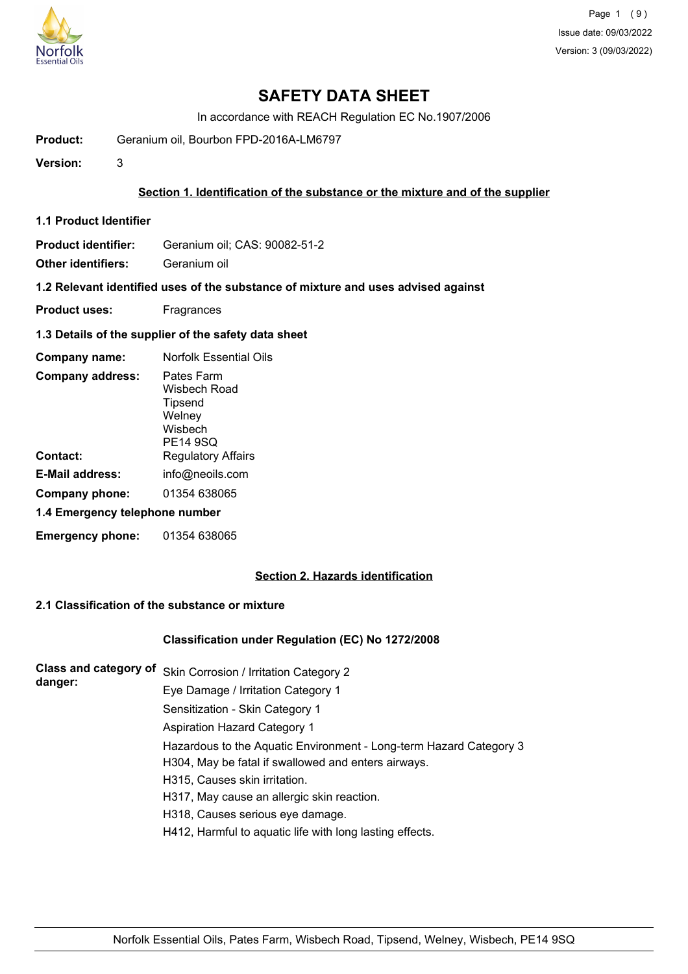

## **SAFETY DATA SHEET**

In accordance with REACH Regulation EC No.1907/2006

**Product:** Geranium oil, Bourbon FPD-2016A-LM6797

**Version:** 3

### **Section 1. Identification of the substance or the mixture and of the supplier**

**1.1 Product Identifier**

**Product identifier:** Geranium oil; CAS: 90082-51-2

**Other identifiers:** Geranium oil

**1.2 Relevant identified uses of the substance of mixture and uses advised against**

- **Product uses:** Fragrances
- **1.3 Details of the supplier of the safety data sheet**

| Company name:                  | <b>Norfolk Essential Oils</b>                                                 |
|--------------------------------|-------------------------------------------------------------------------------|
| <b>Company address:</b>        | Pates Farm<br>Wisbech Road<br><b>Tipsend</b><br>Welney<br>Wisbech<br>PE14 9SQ |
| Contact:                       | <b>Regulatory Affairs</b>                                                     |
| <b>E-Mail address:</b>         | info@neoils.com                                                               |
| Company phone:                 | 01354 638065                                                                  |
| 1.4 Emergency telephone number |                                                                               |
| <b>Emergency phone:</b>        | 01354 638065                                                                  |

## **Section 2. Hazards identification**

### **2.1 Classification of the substance or mixture**

#### **Classification under Regulation (EC) No 1272/2008**

**Class and category of** Skin Corrosion / Irritation Category 2 **danger:** Eye Damage / Irritation Category 1 Sensitization - Skin Category 1 Aspiration Hazard Category 1 Hazardous to the Aquatic Environment - Long-term Hazard Category 3 H304, May be fatal if swallowed and enters airways. H315, Causes skin irritation. H317, May cause an allergic skin reaction. H318, Causes serious eye damage. H412, Harmful to aquatic life with long lasting effects.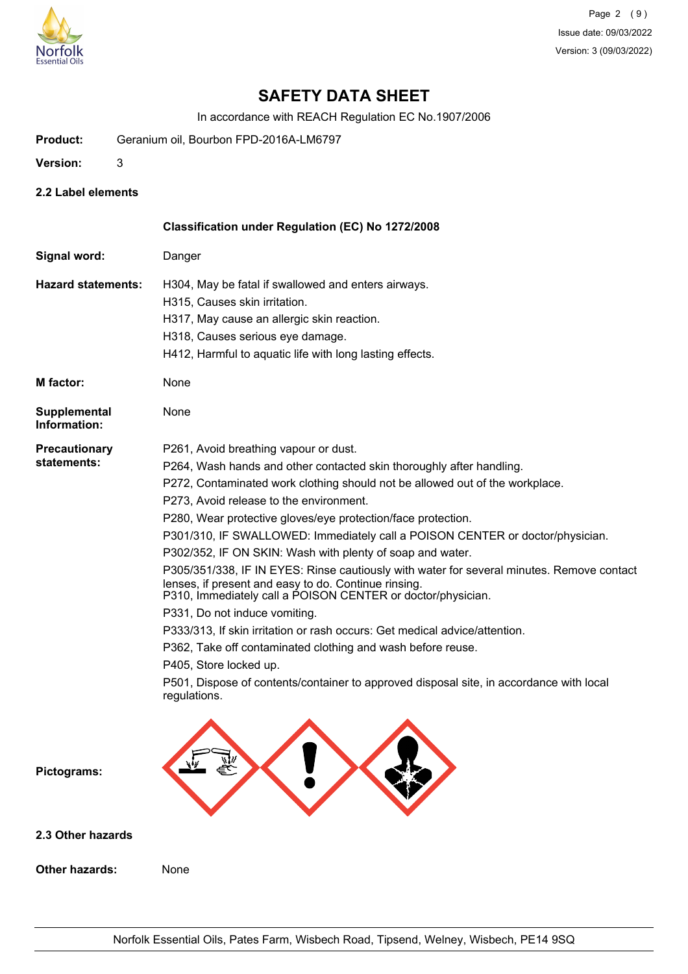

# **SAFETY DATA SHEET**

In accordance with REACH Regulation EC No.1907/2006

- **Product:** Geranium oil, Bourbon FPD-2016A-LM6797
- **Version:** 3
- **2.2 Label elements**

**Other hazards:** None

|                              | Classification under Regulation (EC) No 1272/2008                                                                                                                                                                |
|------------------------------|------------------------------------------------------------------------------------------------------------------------------------------------------------------------------------------------------------------|
| Signal word:                 | Danger                                                                                                                                                                                                           |
| <b>Hazard statements:</b>    | H304, May be fatal if swallowed and enters airways.                                                                                                                                                              |
|                              | H315, Causes skin irritation.                                                                                                                                                                                    |
|                              | H317, May cause an allergic skin reaction.                                                                                                                                                                       |
|                              | H318, Causes serious eye damage.                                                                                                                                                                                 |
|                              | H412, Harmful to aquatic life with long lasting effects.                                                                                                                                                         |
| M factor:                    | None                                                                                                                                                                                                             |
| Supplemental<br>Information: | None                                                                                                                                                                                                             |
| <b>Precautionary</b>         | P261, Avoid breathing vapour or dust.                                                                                                                                                                            |
| statements:                  | P264, Wash hands and other contacted skin thoroughly after handling.                                                                                                                                             |
|                              | P272, Contaminated work clothing should not be allowed out of the workplace.                                                                                                                                     |
|                              | P273, Avoid release to the environment.                                                                                                                                                                          |
|                              | P280, Wear protective gloves/eye protection/face protection.                                                                                                                                                     |
|                              | P301/310, IF SWALLOWED: Immediately call a POISON CENTER or doctor/physician.                                                                                                                                    |
|                              | P302/352, IF ON SKIN: Wash with plenty of soap and water.                                                                                                                                                        |
|                              | P305/351/338, IF IN EYES: Rinse cautiously with water for several minutes. Remove contact<br>lenses, if present and easy to do. Continue rinsing.<br>P310, Immediately call a POISON CENTER or doctor/physician. |
|                              | P331, Do not induce vomiting.                                                                                                                                                                                    |
|                              | P333/313, If skin irritation or rash occurs: Get medical advice/attention.                                                                                                                                       |
|                              | P362, Take off contaminated clothing and wash before reuse.                                                                                                                                                      |
|                              | P405, Store locked up.                                                                                                                                                                                           |
|                              | P501, Dispose of contents/container to approved disposal site, in accordance with local<br>regulations.                                                                                                          |
| Pictograms:                  |                                                                                                                                                                                                                  |
| 2.3 Other hazards            |                                                                                                                                                                                                                  |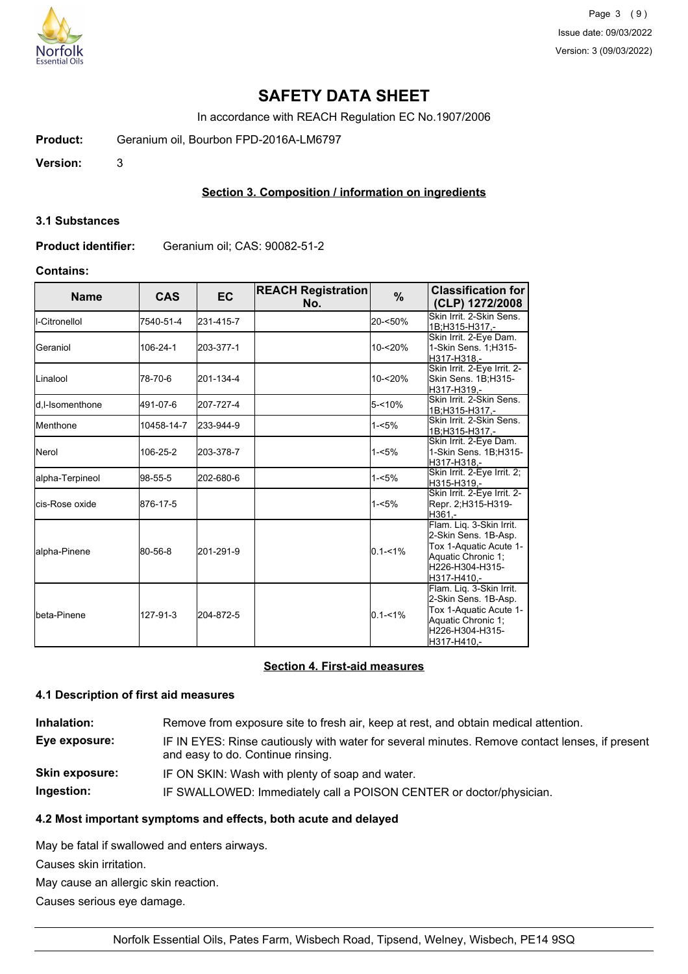

## **SAFETY DATA SHEET**

In accordance with REACH Regulation EC No.1907/2006

**Product:** Geranium oil, Bourbon FPD-2016A-LM6797

**Version:** 3

## **Section 3. Composition / information on ingredients**

#### **3.1 Substances**

**Product identifier:** Geranium oil; CAS: 90082-51-2

## **Contains:**

| <b>Name</b>              | <b>CAS</b> | <b>EC</b> | <b>REACH Registration</b><br>No. | %           | <b>Classification for</b><br>(CLP) 1272/2008                                                                                       |
|--------------------------|------------|-----------|----------------------------------|-------------|------------------------------------------------------------------------------------------------------------------------------------|
| II-Citronellol           | 7540-51-4  | 231-415-7 |                                  | 20-<50%     | Skin Irrit. 2-Skin Sens.<br>1B;H315-H317.-                                                                                         |
| lGeraniol                | 106-24-1   | 203-377-1 |                                  | 10-<20%     | Skin Irrit. 2-Eye Dam.<br>1-Skin Sens. 1; H315-<br>H317-H318.-                                                                     |
| ILinalool                | 78-70-6    | 201-134-4 |                                  | 10-<20%     | Skin Irrit. 2-Eye Irrit. 2-<br>Skin Sens. 1B;H315-<br>H317-H319.-                                                                  |
| <b>I</b> d.I-Isomenthone | 491-07-6   | 207-727-4 |                                  | $5 - 10%$   | Skin Irrit. 2-Skin Sens.<br>1B;H315-H317,-                                                                                         |
| <b>I</b> Menthone        | 10458-14-7 | 233-944-9 |                                  | $1 - 5%$    | Skin Irrit. 2-Skin Sens.<br>1B:H315-H317 .-                                                                                        |
| <b>I</b> Nerol           | 106-25-2   | 203-378-7 |                                  | $1 - 5%$    | Skin Irrit. 2-Eye Dam.<br>1-Skin Sens. 1B;H315-<br>H317-H318,-                                                                     |
| lalpha-Terpineol         | 98-55-5    | 202-680-6 |                                  | $1 - 5%$    | Skin Irrit. 2-Eye Irrit. 2;<br>H315-H319,-                                                                                         |
| <b>I</b> cis-Rose oxide  | 876-17-5   |           |                                  | $1 - 5%$    | Skin Irrit. 2-Eye Irrit. 2-<br>Repr. 2;H315-H319-<br>H361.-                                                                        |
| <b>l</b> alpha-Pinene    | 80-56-8    | 201-291-9 |                                  | $0.1 - 1\%$ | Flam. Liq. 3-Skin Irrit.<br>2-Skin Sens. 1B-Asp.<br>Tox 1-Aquatic Acute 1-<br>Aquatic Chronic 1;<br>H226-H304-H315-<br>H317-H410.- |
| Ibeta-Pinene             | 127-91-3   | 204-872-5 |                                  | $0.1 - 1\%$ | Flam. Liq. 3-Skin Irrit.<br>2-Skin Sens. 1B-Asp.<br>Tox 1-Aquatic Acute 1-<br>Aquatic Chronic 1;<br>H226-H304-H315-<br>H317-H410.- |

## **Section 4. First-aid measures**

#### **4.1 Description of first aid measures**

| Inhalation:           | Remove from exposure site to fresh air, keep at rest, and obtain medical attention.                                                 |
|-----------------------|-------------------------------------------------------------------------------------------------------------------------------------|
| Eye exposure:         | IF IN EYES: Rinse cautiously with water for several minutes. Remove contact lenses, if present<br>and easy to do. Continue rinsing. |
| <b>Skin exposure:</b> | IF ON SKIN: Wash with plenty of soap and water.                                                                                     |
| Ingestion:            | IF SWALLOWED: Immediately call a POISON CENTER or doctor/physician.                                                                 |

## **4.2 Most important symptoms and effects, both acute and delayed**

May be fatal if swallowed and enters airways.

Causes skin irritation.

May cause an allergic skin reaction.

Causes serious eye damage.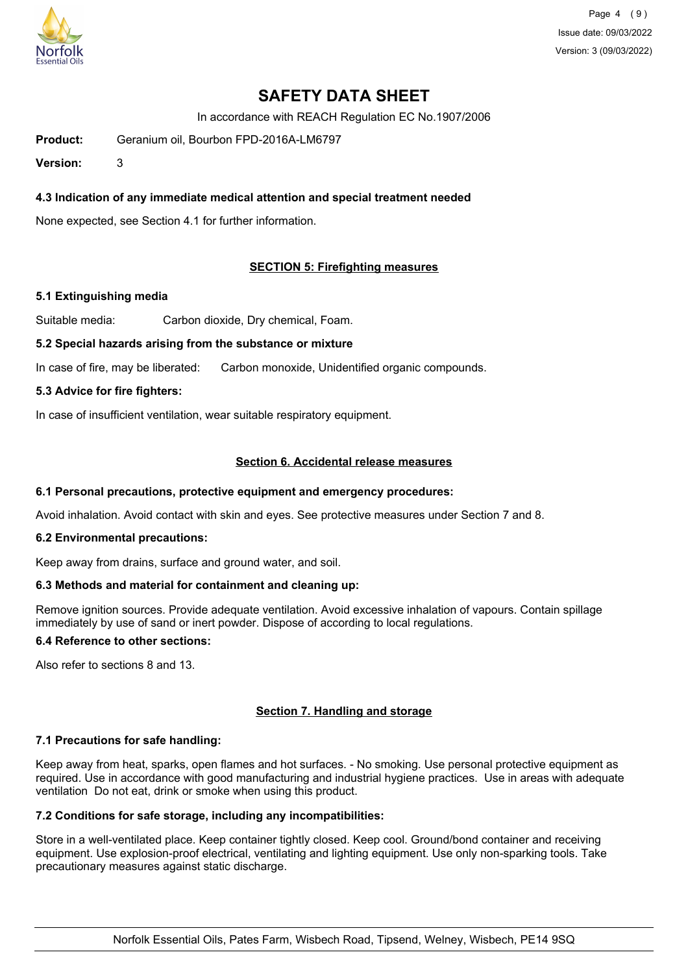

Page 4 (9) Issue date: 09/03/2022 Version: 3 (09/03/2022)

# **SAFETY DATA SHEET**

In accordance with REACH Regulation EC No.1907/2006

**Product:** Geranium oil, Bourbon FPD-2016A-LM6797

**Version:** 3

## **4.3 Indication of any immediate medical attention and special treatment needed**

None expected, see Section 4.1 for further information.

## **SECTION 5: Firefighting measures**

#### **5.1 Extinguishing media**

Suitable media: Carbon dioxide, Dry chemical, Foam.

#### **5.2 Special hazards arising from the substance or mixture**

In case of fire, may be liberated: Carbon monoxide, Unidentified organic compounds.

#### **5.3 Advice for fire fighters:**

In case of insufficient ventilation, wear suitable respiratory equipment.

## **Section 6. Accidental release measures**

#### **6.1 Personal precautions, protective equipment and emergency procedures:**

Avoid inhalation. Avoid contact with skin and eyes. See protective measures under Section 7 and 8.

#### **6.2 Environmental precautions:**

Keep away from drains, surface and ground water, and soil.

#### **6.3 Methods and material for containment and cleaning up:**

Remove ignition sources. Provide adequate ventilation. Avoid excessive inhalation of vapours. Contain spillage immediately by use of sand or inert powder. Dispose of according to local regulations.

## **6.4 Reference to other sections:**

Also refer to sections 8 and 13.

## **Section 7. Handling and storage**

## **7.1 Precautions for safe handling:**

Keep away from heat, sparks, open flames and hot surfaces. - No smoking. Use personal protective equipment as required. Use in accordance with good manufacturing and industrial hygiene practices. Use in areas with adequate ventilation Do not eat, drink or smoke when using this product.

## **7.2 Conditions for safe storage, including any incompatibilities:**

Store in a well-ventilated place. Keep container tightly closed. Keep cool. Ground/bond container and receiving equipment. Use explosion-proof electrical, ventilating and lighting equipment. Use only non-sparking tools. Take precautionary measures against static discharge.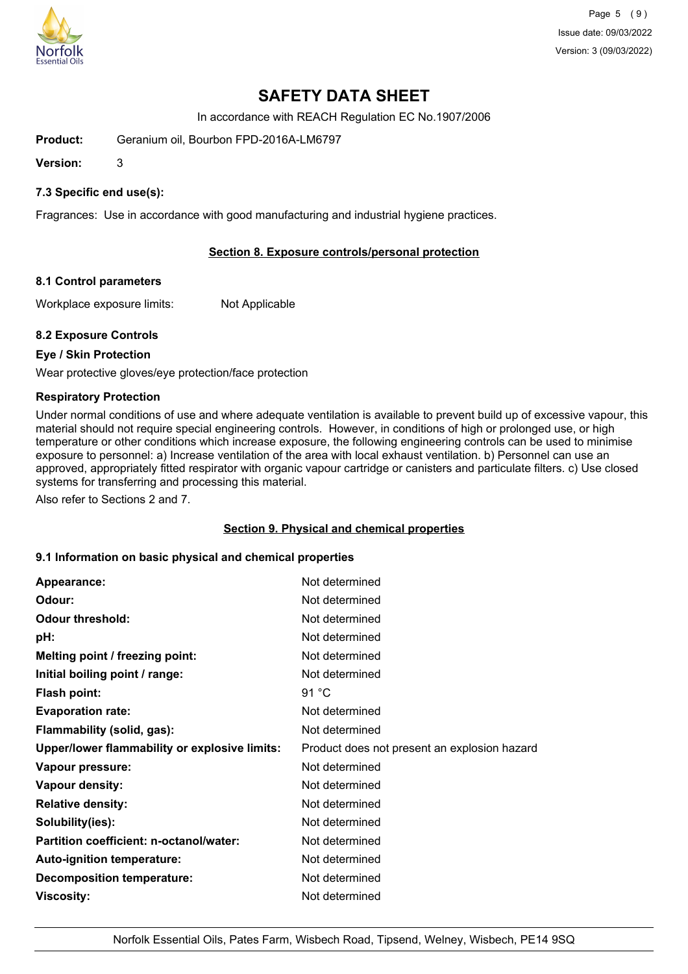

Page 5 (9) Issue date: 09/03/2022 Version: 3 (09/03/2022)

# **SAFETY DATA SHEET**

In accordance with REACH Regulation EC No.1907/2006

**Product:** Geranium oil, Bourbon FPD-2016A-LM6797

**Version:** 3

## **7.3 Specific end use(s):**

Fragrances: Use in accordance with good manufacturing and industrial hygiene practices.

## **Section 8. Exposure controls/personal protection**

#### **8.1 Control parameters**

Workplace exposure limits: Not Applicable

#### **8.2 Exposure Controls**

## **Eye / Skin Protection**

Wear protective gloves/eye protection/face protection

#### **Respiratory Protection**

Under normal conditions of use and where adequate ventilation is available to prevent build up of excessive vapour, this material should not require special engineering controls. However, in conditions of high or prolonged use, or high temperature or other conditions which increase exposure, the following engineering controls can be used to minimise exposure to personnel: a) Increase ventilation of the area with local exhaust ventilation. b) Personnel can use an approved, appropriately fitted respirator with organic vapour cartridge or canisters and particulate filters. c) Use closed systems for transferring and processing this material.

Also refer to Sections 2 and 7.

#### **Section 9. Physical and chemical properties**

#### **9.1 Information on basic physical and chemical properties**

| Appearance:                                   | Not determined                               |
|-----------------------------------------------|----------------------------------------------|
| Odour:                                        | Not determined                               |
| <b>Odour threshold:</b>                       | Not determined                               |
| pH:                                           | Not determined                               |
| Melting point / freezing point:               | Not determined                               |
| Initial boiling point / range:                | Not determined                               |
| <b>Flash point:</b>                           | 91 °C                                        |
| <b>Evaporation rate:</b>                      | Not determined                               |
| Flammability (solid, gas):                    | Not determined                               |
| Upper/lower flammability or explosive limits: | Product does not present an explosion hazard |
| Vapour pressure:                              | Not determined                               |
| Vapour density:                               | Not determined                               |
| <b>Relative density:</b>                      | Not determined                               |
| Solubility(ies):                              | Not determined                               |
| Partition coefficient: n-octanol/water:       | Not determined                               |
| Auto-ignition temperature:                    | Not determined                               |
| <b>Decomposition temperature:</b>             | Not determined                               |
| Viscosity:                                    | Not determined                               |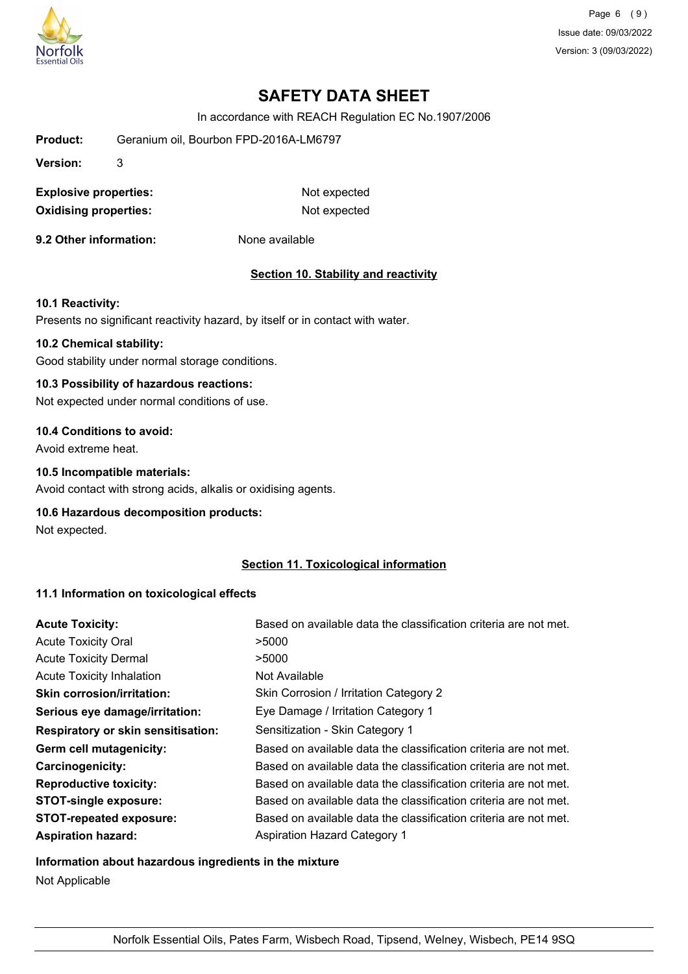

Page 6 (9) Issue date: 09/03/2022 Version: 3 (09/03/2022)

# **SAFETY DATA SHEET**

In accordance with REACH Regulation EC No.1907/2006

| <b>Product:</b>              |   | Geranium oil, Bourbon FPD-2016A-LM6797 |
|------------------------------|---|----------------------------------------|
| Version:                     | 3 |                                        |
| <b>Explosive properties:</b> |   | Not expected                           |
| <b>Oxidising properties:</b> |   | Not expected                           |
| 9.2 Other information:       |   | None available                         |

#### **Section 10. Stability and reactivity**

### **10.1 Reactivity:**

Presents no significant reactivity hazard, by itself or in contact with water.

### **10.2 Chemical stability:**

Good stability under normal storage conditions.

### **10.3 Possibility of hazardous reactions:**

Not expected under normal conditions of use.

#### **10.4 Conditions to avoid:**

Avoid extreme heat.

### **10.5 Incompatible materials:**

Avoid contact with strong acids, alkalis or oxidising agents.

#### **10.6 Hazardous decomposition products:**

Not expected.

## **Section 11. Toxicological information**

## **11.1 Information on toxicological effects**

| <b>Acute Toxicity:</b>                    | Based on available data the classification criteria are not met. |
|-------------------------------------------|------------------------------------------------------------------|
| <b>Acute Toxicity Oral</b>                | >5000                                                            |
| <b>Acute Toxicity Dermal</b>              | >5000                                                            |
| <b>Acute Toxicity Inhalation</b>          | Not Available                                                    |
| <b>Skin corrosion/irritation:</b>         | Skin Corrosion / Irritation Category 2                           |
| Serious eye damage/irritation:            | Eye Damage / Irritation Category 1                               |
| <b>Respiratory or skin sensitisation:</b> | Sensitization - Skin Category 1                                  |
| Germ cell mutagenicity:                   | Based on available data the classification criteria are not met. |
| Carcinogenicity:                          | Based on available data the classification criteria are not met. |
| <b>Reproductive toxicity:</b>             | Based on available data the classification criteria are not met. |
| <b>STOT-single exposure:</b>              | Based on available data the classification criteria are not met. |
| <b>STOT-repeated exposure:</b>            | Based on available data the classification criteria are not met. |
| <b>Aspiration hazard:</b>                 | <b>Aspiration Hazard Category 1</b>                              |

#### **Information about hazardous ingredients in the mixture**

Not Applicable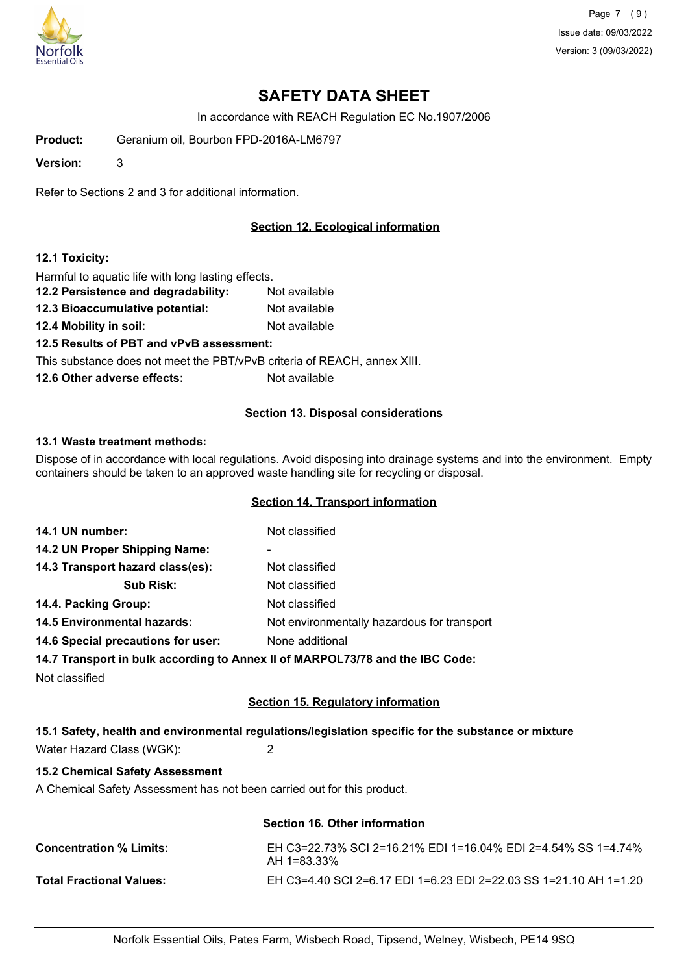

Page 7 (9) Issue date: 09/03/2022 Version: 3 (09/03/2022)

# **SAFETY DATA SHEET**

In accordance with REACH Regulation EC No.1907/2006

**Product:** Geranium oil, Bourbon FPD-2016A-LM6797

**Version:** 3

Refer to Sections 2 and 3 for additional information.

## **Section 12. Ecological information**

#### **12.1 Toxicity:**

Harmful to aquatic life with long lasting effects.

- **12.2 Persistence and degradability:** Not available
- **12.3 Bioaccumulative potential:** Not available
- **12.4 Mobility in soil:** Not available

**12.5 Results of PBT and vPvB assessment:**

This substance does not meet the PBT/vPvB criteria of REACH, annex XIII.

**12.6 Other adverse effects:** Not available

#### **Section 13. Disposal considerations**

#### **13.1 Waste treatment methods:**

Dispose of in accordance with local regulations. Avoid disposing into drainage systems and into the environment. Empty containers should be taken to an approved waste handling site for recycling or disposal.

### **Section 14. Transport information**

| 14.1 UN number:                    | Not classified                                                                 |
|------------------------------------|--------------------------------------------------------------------------------|
| 14.2 UN Proper Shipping Name:      | ۰                                                                              |
| 14.3 Transport hazard class(es):   | Not classified                                                                 |
| <b>Sub Risk:</b>                   | Not classified                                                                 |
| 14.4. Packing Group:               | Not classified                                                                 |
| <b>14.5 Environmental hazards:</b> | Not environmentally hazardous for transport                                    |
| 14.6 Special precautions for user: | None additional                                                                |
|                                    | 14.7 Transport in bulk according to Annoy II of MADDOI 72/78 and the IBC Code: |

**14.7 Transport in bulk according to Annex II of MARPOL73/78 and the IBC Code:**

Not classified

## **Section 15. Regulatory information**

## **15.1 Safety, health and environmental regulations/legislation specific for the substance or mixture**

Water Hazard Class (WGK): 2

## **15.2 Chemical Safety Assessment**

A Chemical Safety Assessment has not been carried out for this product.

| Section 16. Other information                                                  |
|--------------------------------------------------------------------------------|
| EH C3=22.73% SCI 2=16.21% EDI 1=16.04% EDI 2=4.54% SS 1=4.74%<br>$AH 1=83.33%$ |
| EH C3=4.40 SCI 2=6.17 EDI 1=6.23 EDI 2=22.03 SS 1=21.10 AH 1=1.20              |
|                                                                                |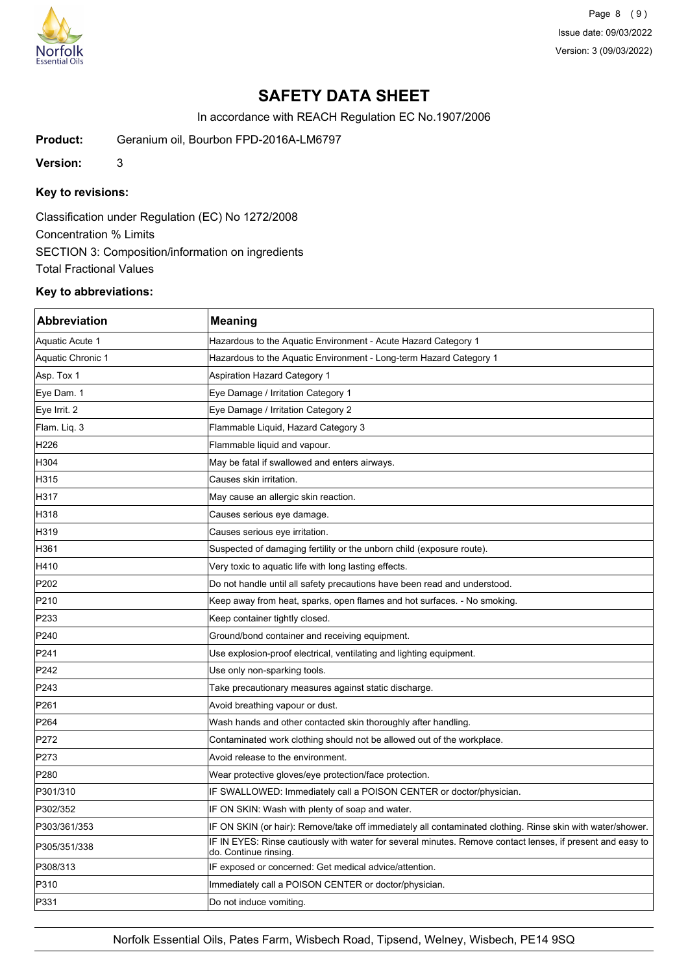

Page 8 (9) Issue date: 09/03/2022 Version: 3 (09/03/2022)

# **SAFETY DATA SHEET**

In accordance with REACH Regulation EC No.1907/2006

**Product:** Geranium oil, Bourbon FPD-2016A-LM6797

**Version:** 3

## **Key to revisions:**

Classification under Regulation (EC) No 1272/2008 Concentration % Limits SECTION 3: Composition/information on ingredients Total Fractional Values

### **Key to abbreviations:**

| <b>Abbreviation</b> | <b>Meaning</b>                                                                                                                     |
|---------------------|------------------------------------------------------------------------------------------------------------------------------------|
| Aquatic Acute 1     | Hazardous to the Aquatic Environment - Acute Hazard Category 1                                                                     |
| Aquatic Chronic 1   | Hazardous to the Aquatic Environment - Long-term Hazard Category 1                                                                 |
| Asp. Tox 1          | Aspiration Hazard Category 1                                                                                                       |
| Eye Dam. 1          | Eye Damage / Irritation Category 1                                                                                                 |
| Eye Irrit. 2        | Eye Damage / Irritation Category 2                                                                                                 |
| Flam. Liq. 3        | Flammable Liquid, Hazard Category 3                                                                                                |
| H226                | Flammable liquid and vapour.                                                                                                       |
| H304                | May be fatal if swallowed and enters airways.                                                                                      |
| H315                | Causes skin irritation.                                                                                                            |
| H317                | May cause an allergic skin reaction.                                                                                               |
| H318                | Causes serious eye damage.                                                                                                         |
| H319                | Causes serious eye irritation.                                                                                                     |
| H361                | Suspected of damaging fertility or the unborn child (exposure route).                                                              |
| H410                | Very toxic to aquatic life with long lasting effects.                                                                              |
| P202                | Do not handle until all safety precautions have been read and understood.                                                          |
| P210                | Keep away from heat, sparks, open flames and hot surfaces. - No smoking.                                                           |
| P233                | Keep container tightly closed.                                                                                                     |
| P240                | Ground/bond container and receiving equipment.                                                                                     |
| P241                | Use explosion-proof electrical, ventilating and lighting equipment.                                                                |
| P242                | Use only non-sparking tools.                                                                                                       |
| P243                | Take precautionary measures against static discharge.                                                                              |
| P261                | Avoid breathing vapour or dust.                                                                                                    |
| P264                | Wash hands and other contacted skin thoroughly after handling.                                                                     |
| P272                | Contaminated work clothing should not be allowed out of the workplace.                                                             |
| P273                | Avoid release to the environment.                                                                                                  |
| P280                | Wear protective gloves/eye protection/face protection.                                                                             |
| P301/310            | IF SWALLOWED: Immediately call a POISON CENTER or doctor/physician.                                                                |
| P302/352            | IF ON SKIN: Wash with plenty of soap and water.                                                                                    |
| P303/361/353        | IF ON SKIN (or hair): Remove/take off immediately all contaminated clothing. Rinse skin with water/shower.                         |
| P305/351/338        | IF IN EYES: Rinse cautiously with water for several minutes. Remove contact lenses, if present and easy to<br>do. Continue rinsing |
| P308/313            | IF exposed or concerned: Get medical advice/attention.                                                                             |
| P310                | Immediately call a POISON CENTER or doctor/physician.                                                                              |
| P331                | Do not induce vomiting.                                                                                                            |